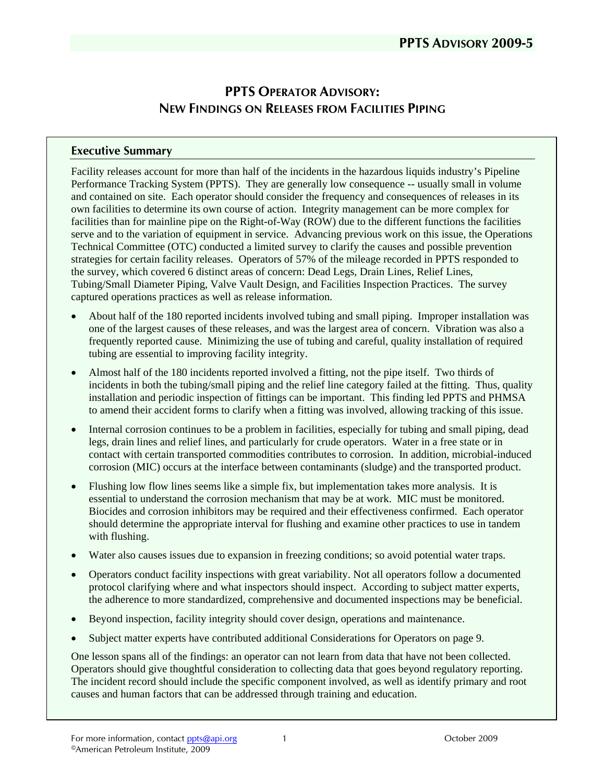# **PPTS OPERATOR ADVISORY: NEW FINDINGS ON RELEASES FROM FACILITIES PIPING**

#### **Executive Summary**

Facility releases account for more than half of the incidents in the hazardous liquids industry's Pipeline Performance Tracking System (PPTS). They are generally low consequence -- usually small in volume and contained on site. Each operator should consider the frequency and consequences of releases in its own facilities to determine its own course of action. Integrity management can be more complex for facilities than for mainline pipe on the Right-of-Way (ROW) due to the different functions the facilities serve and to the variation of equipment in service. Advancing previous work on this issue, the Operations Technical Committee (OTC) conducted a limited survey to clarify the causes and possible prevention strategies for certain facility releases. Operators of 57% of the mileage recorded in PPTS responded to the survey, which covered 6 distinct areas of concern: Dead Legs, Drain Lines, Relief Lines, Tubing/Small Diameter Piping, Valve Vault Design, and Facilities Inspection Practices. The survey captured operations practices as well as release information.

- About half of the 180 reported incidents involved tubing and small piping. Improper installation was one of the largest causes of these releases, and was the largest area of concern. Vibration was also a frequently reported cause. Minimizing the use of tubing and careful, quality installation of required tubing are essential to improving facility integrity.
- Almost half of the 180 incidents reported involved a fitting, not the pipe itself. Two thirds of incidents in both the tubing/small piping and the relief line category failed at the fitting. Thus, quality installation and periodic inspection of fittings can be important. This finding led PPTS and PHMSA to amend their accident forms to clarify when a fitting was involved, allowing tracking of this issue.
- Internal corrosion continues to be a problem in facilities, especially for tubing and small piping, dead legs, drain lines and relief lines, and particularly for crude operators. Water in a free state or in contact with certain transported commodities contributes to corrosion. In addition, microbial-induced corrosion (MIC) occurs at the interface between contaminants (sludge) and the transported product.
- Flushing low flow lines seems like a simple fix, but implementation takes more analysis. It is essential to understand the corrosion mechanism that may be at work. MIC must be monitored. Biocides and corrosion inhibitors may be required and their effectiveness confirmed. Each operator should determine the appropriate interval for flushing and examine other practices to use in tandem with flushing.
- Water also causes issues due to expansion in freezing conditions; so avoid potential water traps.
- Operators conduct facility inspections with great variability. Not all operators follow a documented protocol clarifying where and what inspectors should inspect. According to subject matter experts, the adherence to more standardized, comprehensive and documented inspections may be beneficial.
- Beyond inspection, facility integrity should cover design, operations and maintenance.
- Subject matter experts have contributed additional Considerations for Operators on page 9.

One lesson spans all of the findings: an operator can not learn from data that have not been collected. Operators should give thoughtful consideration to collecting data that goes beyond regulatory reporting. The incident record should include the specific component involved, as well as identify primary and root causes and human factors that can be addressed through training and education.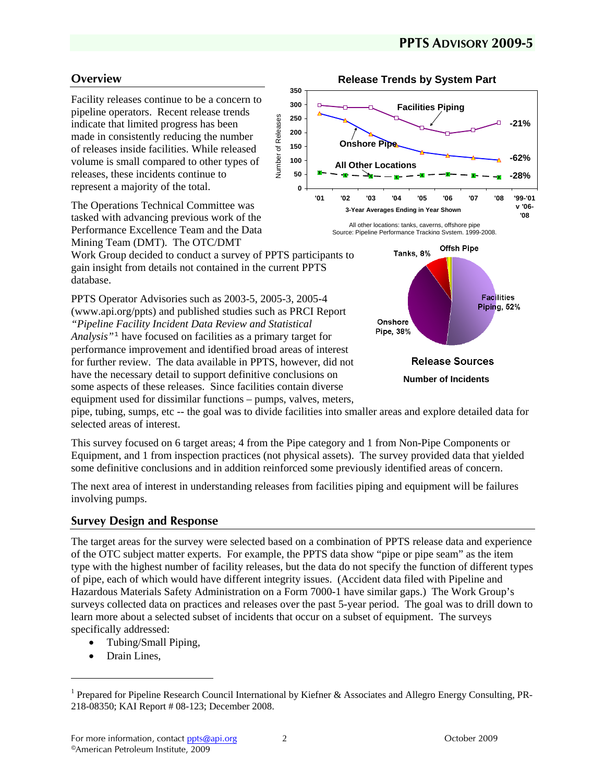# **Overview**

Facility releases continue to be a concern to pipeline operators. Recent release trends indicate that limited progress has been made in consistently reducing the number of releases inside facilities. While released volume is small compared to other types of releases, these incidents continue to represent a majority of the total.

The Operations Technical Committee was tasked with advancing previous work of the Performance Excellence Team and the Data Mining Team (DMT). The OTC/DMT

Work Group decided to conduct a survey of PPTS participants to gain insight from details not contained in the current PPTS database.

PPTS Operator Advisories such as 2003-5, 2005-3, 2005-4 (www.api.org/ppts) and published studies such as PRCI Report *"Pipeline Facility Incident Data Review and Statistical Analysis"*[1](#page-1-0) have focused on facilities as a primary target for performance improvement and identified broad areas of interest for further review. The data available in PPTS, however, did not have the necessary detail to support definitive conclusions on some aspects of these releases. Since facilities contain diverse equipment used for dissimilar functions – pumps, valves, meters,



**Release Trends by System Part**

All other locations: tanks, caverns, offshore pipe Source: Pipeline Performance Tracking System, 1999-2008.



pipe, tubing, sumps, etc -- the goal was to divide facilities into smaller areas and explore detailed data for selected areas of interest.

Number of Releases

Number of Releases

This survey focused on 6 target areas; 4 from the Pipe category and 1 from Non-Pipe Components or Equipment, and 1 from inspection practices (not physical assets). The survey provided data that yielded some definitive conclusions and in addition reinforced some previously identified areas of concern.

The next area of interest in understanding releases from facilities piping and equipment will be failures involving pumps.

### **Survey Design and Response**

The target areas for the survey were selected based on a combination of PPTS release data and experience of the OTC subject matter experts. For example, the PPTS data show "pipe or pipe seam" as the item type with the highest number of facility releases, but the data do not specify the function of different types of pipe, each of which would have different integrity issues. (Accident data filed with Pipeline and Hazardous Materials Safety Administration on a Form 7000-1 have similar gaps.) The Work Group's surveys collected data on practices and releases over the past 5-year period. The goal was to drill down to learn more about a selected subset of incidents that occur on a subset of equipment. The surveys specifically addressed:

- Tubing/Small Piping,
- Drain Lines.

1

<span id="page-1-0"></span><sup>&</sup>lt;sup>1</sup> Prepared for Pipeline Research Council International by Kiefner & Associates and Allegro Energy Consulting, PR-218-08350; KAI Report # 08-123; December 2008.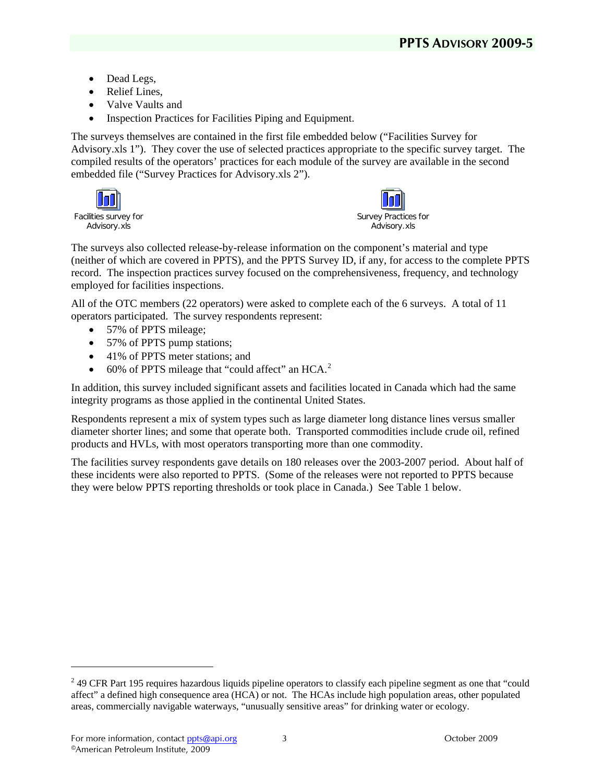- Dead Legs,
- Relief Lines.
- Valve Vaults and
- Inspection Practices for Facilities Piping and Equipment.

The surveys themselves are contained in the first file embedded below ("Facilities Survey for Advisory.xls 1"). They cover the use of selected practices appropriate to the specific survey target. The compiled results of the operators' practices for each module of the survey are available in the second embedded file ("Survey Practices for Advisory.xls 2").





The surveys also collected release-by-release information on the component's material and type (neither of which are covered in PPTS), and the PPTS Survey ID, if any, for access to the complete PPTS record. The inspection practices survey focused on the comprehensiveness, frequency, and technology employed for facilities inspections.

All of the OTC members (22 operators) were asked to complete each of the 6 surveys. A total of 11 operators participated. The survey respondents represent:

- 57% of PPTS mileage;
- 57% of PPTS pump stations;
- 41% of PPTS meter stations; and
- 60% of PPTS mileage that "could affect" an HCA.<sup>[2](#page-2-0)</sup>

In addition, this survey included significant assets and facilities located in Canada which had the same integrity programs as those applied in the continental United States.

Respondents represent a mix of system types such as large diameter long distance lines versus smaller diameter shorter lines; and some that operate both. Transported commodities include crude oil, refined products and HVLs, with most operators transporting more than one commodity.

The facilities survey respondents gave details on 180 releases over the 2003-2007 period. About half of these incidents were also reported to PPTS. (Some of the releases were not reported to PPTS because they were below PPTS reporting thresholds or took place in Canada.) See Table 1 below.

-

<span id="page-2-0"></span> $2<sup>2</sup>$  49 CFR Part 195 requires hazardous liquids pipeline operators to classify each pipeline segment as one that "could affect" a defined high consequence area (HCA) or not. The HCAs include high population areas, other populated areas, commercially navigable waterways, "unusually sensitive areas" for drinking water or ecology.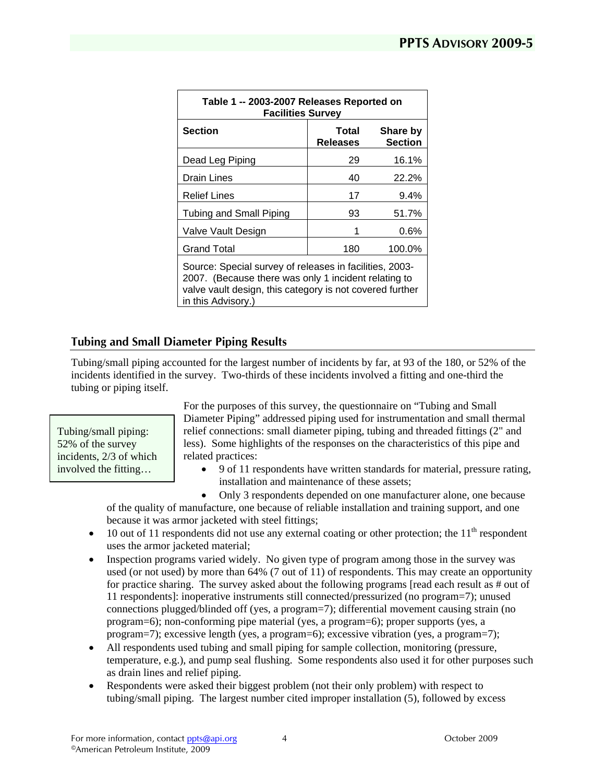| Table 1 -- 2003-2007 Releases Reported on<br><b>Facilities Survey</b>                                                                                                       |                          |                            |
|-----------------------------------------------------------------------------------------------------------------------------------------------------------------------------|--------------------------|----------------------------|
| <b>Section</b>                                                                                                                                                              | Total<br><b>Releases</b> | Share by<br><b>Section</b> |
| Dead Leg Piping                                                                                                                                                             | 29                       | 16.1%                      |
| <b>Drain Lines</b>                                                                                                                                                          | 40                       | 22.2%                      |
| <b>Relief Lines</b>                                                                                                                                                         | 17                       | 9.4%                       |
| Tubing and Small Piping                                                                                                                                                     | 93                       | 51.7%                      |
| Valve Vault Design                                                                                                                                                          | 1                        | 0.6%                       |
| <b>Grand Total</b>                                                                                                                                                          | 180                      | 100.0%                     |
| Source: Special survey of releases in facilities, 2003-<br>2007. (Because there was only 1 incident relating to<br>valve vault design, this category is not covered further |                          |                            |

**Tubing and Small Diameter Piping Results** 

in this Advisory.

Tubing/small piping accounted for the largest number of incidents by far, at 93 of the 180, or 52% of the incidents identified in the survey. Two-thirds of these incidents involved a fitting and one-third the tubing or piping itself.

Tubing/small piping: 52% of the survey incidents, 2/3 of which For the purposes of this survey, the questionnaire on "Tubing and Small Diameter Piping" addressed piping used for instrumentation and small thermal relief connections: small diameter piping, tubing and threaded fittings (2" and less). Some highlights of the responses on the characteristics of this pipe and related practices:

involved the fitting…  $\parallel \cdot$  9 of 11 respondents have written standards for material, pressure rating, installation and maintenance of these assets;

> • Only 3 respondents depended on one manufacturer alone, one because of the quality of manufacture, one because of reliable installation and training support, and one because it was armor jacketed with steel fittings;

- 10 out of 11 respondents did not use any external coating or other protection; the  $11<sup>th</sup>$  respondent uses the armor jacketed material;
- Inspection programs varied widely. No given type of program among those in the survey was used (or not used) by more than 64% (7 out of 11) of respondents. This may create an opportunity for practice sharing. The survey asked about the following programs [read each result as # out of 11 respondents]: inoperative instruments still connected/pressurized (no program=7); unused connections plugged/blinded off (yes, a program=7); differential movement causing strain (no program=6); non-conforming pipe material (yes, a program=6); proper supports (yes, a program=7); excessive length (yes, a program=6); excessive vibration (yes, a program=7);
- All respondents used tubing and small piping for sample collection, monitoring (pressure, temperature, e.g.), and pump seal flushing. Some respondents also used it for other purposes such as drain lines and relief piping.
- Respondents were asked their biggest problem (not their only problem) with respect to tubing/small piping. The largest number cited improper installation (5), followed by excess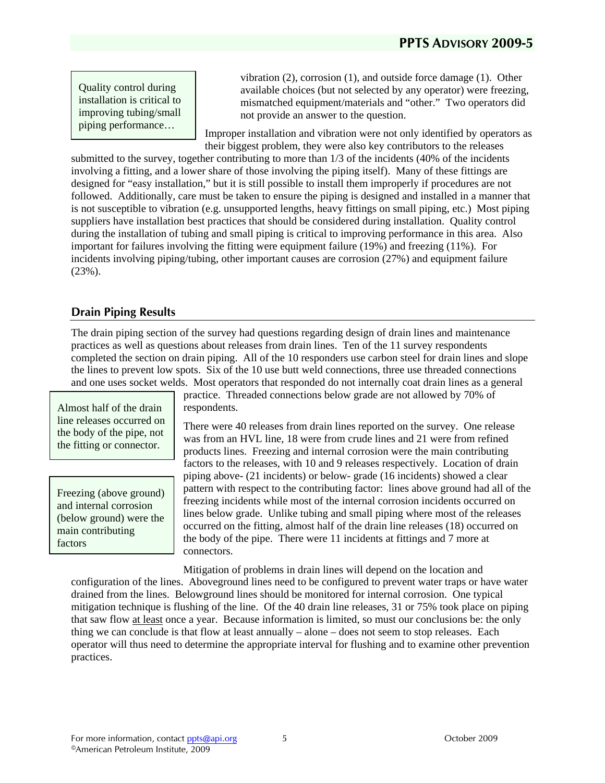Quality control during installation is critical to improving tubing/small piping performance…

vibration (2), corrosion (1), and outside force damage (1). Other available choices (but not selected by any operator) were freezing, mismatched equipment/materials and "other." Two operators did not provide an answer to the question.

Improper installation and vibration were not only identified by operators as their biggest problem, they were also key contributors to the releases

submitted to the survey, together contributing to more than 1/3 of the incidents (40% of the incidents involving a fitting, and a lower share of those involving the piping itself). Many of these fittings are designed for "easy installation," but it is still possible to install them improperly if procedures are not followed. Additionally, care must be taken to ensure the piping is designed and installed in a manner that is not susceptible to vibration (e.g. unsupported lengths, heavy fittings on small piping, etc.) Most piping suppliers have installation best practices that should be considered during installation. Quality control during the installation of tubing and small piping is critical to improving performance in this area. Also important for failures involving the fitting were equipment failure (19%) and freezing (11%). For incidents involving piping/tubing, other important causes are corrosion (27%) and equipment failure (23%).

## **Drain Piping Results**

The drain piping section of the survey had questions regarding design of drain lines and maintenance practices as well as questions about releases from drain lines. Ten of the 11 survey respondents completed the section on drain piping. All of the 10 responders use carbon steel for drain lines and slope the lines to prevent low spots. Six of the 10 use butt weld connections, three use threaded connections and one uses socket welds. Most operators that responded do not internally coat drain lines as a general

Almost half of the drain respondents. line releases occurred on the body of the pipe, not the fitting or connector.

Freezing (above ground) and internal corrosion (below ground) were the main contributing factors

practice. Threaded connections below grade are not allowed by 70% of

There were 40 releases from drain lines reported on the survey. One release was from an HVL line, 18 were from crude lines and 21 were from refined products lines. Freezing and internal corrosion were the main contributing factors to the releases, with 10 and 9 releases respectively. Location of drain piping above- (21 incidents) or below- grade (16 incidents) showed a clear pattern with respect to the contributing factor: lines above ground had all of the freezing incidents while most of the internal corrosion incidents occurred on lines below grade. Unlike tubing and small piping where most of the releases occurred on the fitting, almost half of the drain line releases (18) occurred on the body of the pipe. There were 11 incidents at fittings and 7 more at connectors.

Mitigation of problems in drain lines will depend on the location and configuration of the lines. Aboveground lines need to be configured to prevent water traps or have water drained from the lines. Belowground lines should be monitored for internal corrosion. One typical mitigation technique is flushing of the line. Of the 40 drain line releases, 31 or 75% took place on piping that saw flow at least once a year. Because information is limited, so must our conclusions be: the only thing we can conclude is that flow at least annually – alone – does not seem to stop releases. Each operator will thus need to determine the appropriate interval for flushing and to examine other prevention practices.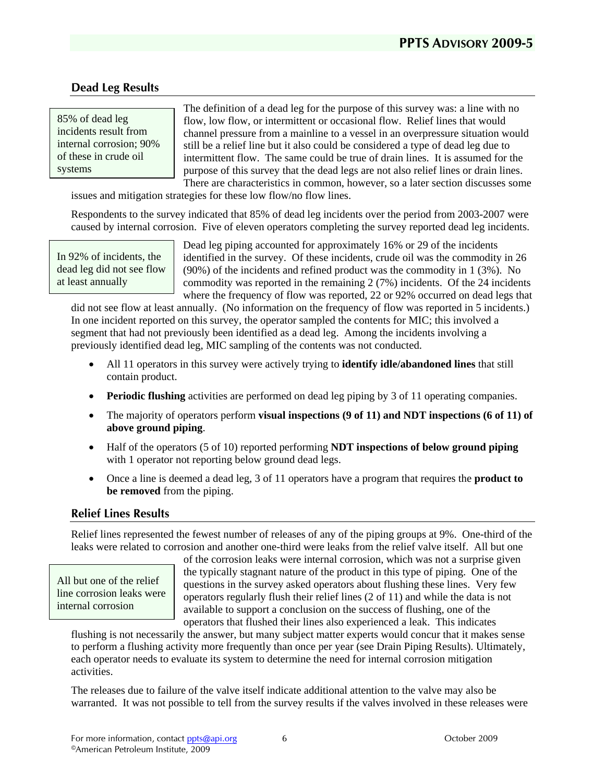## **Dead Leg Results**

85% of dead leg incidents result from internal corrosion; 90% of these in crude oil systems

The definition of a dead leg for the purpose of this survey was: a line with no flow, low flow, or intermittent or occasional flow. Relief lines that would channel pressure from a mainline to a vessel in an overpressure situation would still be a relief line but it also could be considered a type of dead leg due to intermittent flow. The same could be true of drain lines. It is assumed for the purpose of this survey that the dead legs are not also relief lines or drain lines. There are characteristics in common, however, so a later section discusses some

issues and mitigation strategies for these low flow/no flow lines.

Respondents to the survey indicated that 85% of dead leg incidents over the period from 2003-2007 were caused by internal corrosion. Five of eleven operators completing the survey reported dead leg incidents.

In 92% of incidents, the dead leg did not see flow at least annually

Dead leg piping accounted for approximately 16% or 29 of the incidents identified in the survey. Of these incidents, crude oil was the commodity in 26 (90%) of the incidents and refined product was the commodity in 1 (3%). No commodity was reported in the remaining 2 (7%) incidents. Of the 24 incidents where the frequency of flow was reported, 22 or 92% occurred on dead legs that

did not see flow at least annually. (No information on the frequency of flow was reported in 5 incidents.) In one incident reported on this survey, the operator sampled the contents for MIC; this involved a segment that had not previously been identified as a dead leg. Among the incidents involving a previously identified dead leg, MIC sampling of the contents was not conducted.

- All 11 operators in this survey were actively trying to **identify idle/abandoned lines** that still contain product.
- **Periodic flushing** activities are performed on dead leg piping by 3 of 11 operating companies.
- The majority of operators perform **visual inspections (9 of 11) and NDT inspections (6 of 11) of above ground piping**.
- Half of the operators (5 of 10) reported performing **NDT** inspections of below ground piping with 1 operator not reporting below ground dead legs.
- Once a line is deemed a dead leg, 3 of 11 operators have a program that requires the **product to be removed** from the piping.

#### **Relief Lines Results**

Relief lines represented the fewest number of releases of any of the piping groups at 9%. One-third of the leaks were related to corrosion and another one-third were leaks from the relief valve itself. All but one

All but one of the relief line corrosion leaks were internal corrosion

of the corrosion leaks were internal corrosion, which was not a surprise given the typically stagnant nature of the product in this type of piping. One of the questions in the survey asked operators about flushing these lines. Very few operators regularly flush their relief lines (2 of 11) and while the data is not available to support a conclusion on the success of flushing, one of the operators that flushed their lines also experienced a leak. This indicates

flushing is not necessarily the answer, but many subject matter experts would concur that it makes sense to perform a flushing activity more frequently than once per year (see Drain Piping Results). Ultimately, each operator needs to evaluate its system to determine the need for internal corrosion mitigation activities.

The releases due to failure of the valve itself indicate additional attention to the valve may also be warranted. It was not possible to tell from the survey results if the valves involved in these releases were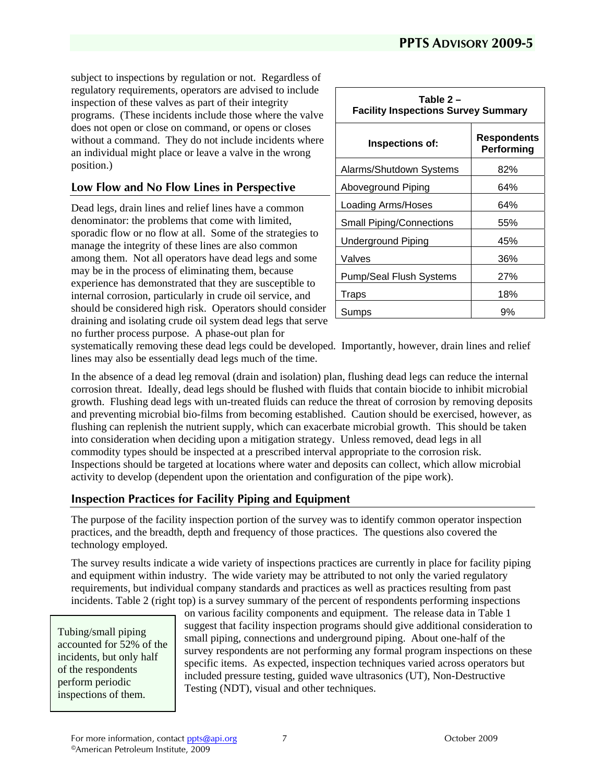subject to inspections by regulation or not. Regardless of regulatory requirements, operators are advised to include inspection of these valves as part of their integrity programs. (These incidents include those where the valve does not open or close on command, or opens or closes without a command. They do not include incidents where an individual might place or leave a valve in the wrong position.)

### **Low Flow and No Flow Lines in Perspective**

Dead legs, drain lines and relief lines have a common denominator: the problems that come with limited, sporadic flow or no flow at all. Some of the strategies to manage the integrity of these lines are also common among them. Not all operators have dead legs and some may be in the process of eliminating them, because experience has demonstrated that they are susceptible to internal corrosion, particularly in crude oil service, and should be considered high risk. Operators should consider draining and isolating crude oil system dead legs that serve no further process purpose. A phase-out plan for

| Table 2 –<br><b>Facility Inspections Survey Summary</b> |                           |  |
|---------------------------------------------------------|---------------------------|--|
| Inspections of:                                         | Respondents<br>Performing |  |
| Alarms/Shutdown Systems                                 | 82%                       |  |
| Aboveground Piping                                      | 64%                       |  |
| Loading Arms/Hoses                                      | 64%                       |  |
| <b>Small Piping/Connections</b>                         | 55%                       |  |
| <b>Underground Piping</b>                               | 45%                       |  |
| Valves                                                  | 36%                       |  |
| <b>Pump/Seal Flush Systems</b>                          | 27%                       |  |
| Traps                                                   | 18%                       |  |
| Sumps                                                   | 9%                        |  |

systematically removing these dead legs could be developed. Importantly, however, drain lines and relief lines may also be essentially dead legs much of the time.

In the absence of a dead leg removal (drain and isolation) plan, flushing dead legs can reduce the internal corrosion threat. Ideally, dead legs should be flushed with fluids that contain biocide to inhibit microbial growth. Flushing dead legs with un-treated fluids can reduce the threat of corrosion by removing deposits and preventing microbial bio-films from becoming established. Caution should be exercised, however, as flushing can replenish the nutrient supply, which can exacerbate microbial growth. This should be taken into consideration when deciding upon a mitigation strategy. Unless removed, dead legs in all commodity types should be inspected at a prescribed interval appropriate to the corrosion risk. Inspections should be targeted at locations where water and deposits can collect, which allow microbial activity to develop (dependent upon the orientation and configuration of the pipe work).

### **Inspection Practices for Facility Piping and Equipment**

The purpose of the facility inspection portion of the survey was to identify common operator inspection practices, and the breadth, depth and frequency of those practices. The questions also covered the technology employed.

The survey results indicate a wide variety of inspections practices are currently in place for facility piping and equipment within industry. The wide variety may be attributed to not only the varied regulatory requirements, but individual company standards and practices as well as practices resulting from past incidents. Table 2 (right top) is a survey summary of the percent of respondents performing inspections

Tubing/small piping accounted for 52% of the incidents, but only half of the respondents perform periodic inspections of them.

on various facility components and equipment. The release data in Table 1 suggest that facility inspection programs should give additional consideration to small piping, connections and underground piping. About one-half of the survey respondents are not performing any formal program inspections on these specific items. As expected, inspection techniques varied across operators but included pressure testing, guided wave ultrasonics (UT), Non-Destructive Testing (NDT), visual and other techniques.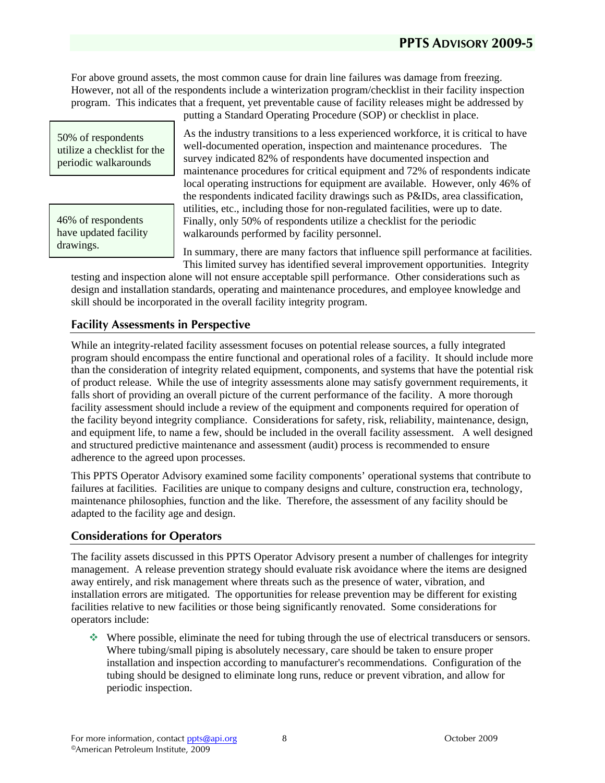For above ground assets, the most common cause for drain line failures was damage from freezing. However, not all of the respondents include a winterization program/checklist in their facility inspection program. This indicates that a frequent, yet preventable cause of facility releases might be addressed by

50% of respondents utilize a checklist for the periodic walkarounds

46% of respondents have updated facility drawings.

putting a Standard Operating Procedure (SOP) or checklist in place.

As the industry transitions to a less experienced workforce, it is critical to have well-documented operation, inspection and maintenance procedures. The survey indicated 82% of respondents have documented inspection and maintenance procedures for critical equipment and 72% of respondents indicate local operating instructions for equipment are available. However, only 46% of the respondents indicated facility drawings such as P&IDs, area classification, utilities, etc., including those for non-regulated facilities, were up to date. Finally, only 50% of respondents utilize a checklist for the periodic walkarounds performed by facility personnel.

In summary, there are many factors that influence spill performance at facilities. This limited survey has identified several improvement opportunities. Integrity

testing and inspection alone will not ensure acceptable spill performance. Other considerations such as design and installation standards, operating and maintenance procedures, and employee knowledge and skill should be incorporated in the overall facility integrity program.

### **Facility Assessments in Perspective**

While an integrity-related facility assessment focuses on potential release sources, a fully integrated program should encompass the entire functional and operational roles of a facility. It should include more than the consideration of integrity related equipment, components, and systems that have the potential risk of product release. While the use of integrity assessments alone may satisfy government requirements, it falls short of providing an overall picture of the current performance of the facility. A more thorough facility assessment should include a review of the equipment and components required for operation of the facility beyond integrity compliance. Considerations for safety, risk, reliability, maintenance, design, and equipment life, to name a few, should be included in the overall facility assessment. A well designed and structured predictive maintenance and assessment (audit) process is recommended to ensure adherence to the agreed upon processes.

This PPTS Operator Advisory examined some facility components' operational systems that contribute to failures at facilities. Facilities are unique to company designs and culture, construction era, technology, maintenance philosophies, function and the like. Therefore, the assessment of any facility should be adapted to the facility age and design.

### **Considerations for Operators**

The facility assets discussed in this PPTS Operator Advisory present a number of challenges for integrity management. A release prevention strategy should evaluate risk avoidance where the items are designed away entirely, and risk management where threats such as the presence of water, vibration, and installation errors are mitigated. The opportunities for release prevention may be different for existing facilities relative to new facilities or those being significantly renovated. Some considerations for operators include:

 Where possible, eliminate the need for tubing through the use of electrical transducers or sensors. Where tubing/small piping is absolutely necessary, care should be taken to ensure proper installation and inspection according to manufacturer's recommendations. Configuration of the tubing should be designed to eliminate long runs, reduce or prevent vibration, and allow for periodic inspection.